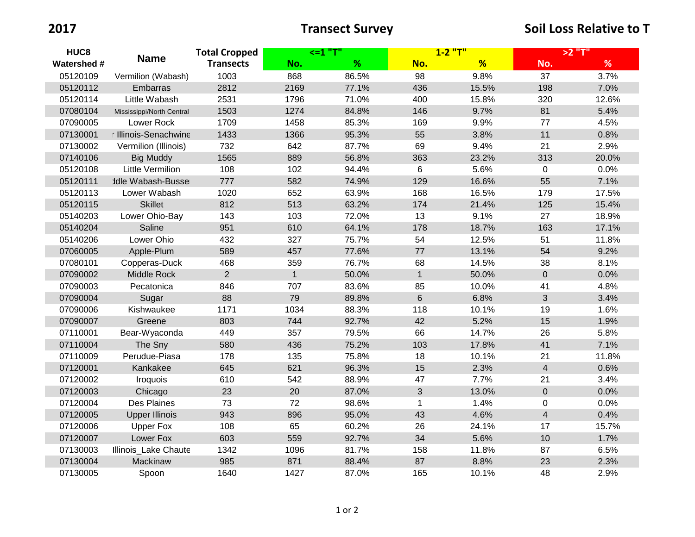| HUC8               | <b>Name</b>               | <b>Total Cropped</b><br><b>Transects</b> | <=1 "T"      |       | $1 - 2$ "T"    |       | >2 "T"         |       |
|--------------------|---------------------------|------------------------------------------|--------------|-------|----------------|-------|----------------|-------|
| <b>Watershed #</b> |                           |                                          | No.          | %     | No.            | %     | No.            | %     |
| 05120109           | Vermilion (Wabash)        | 1003                                     | 868          | 86.5% | 98             | 9.8%  | 37             | 3.7%  |
| 05120112           | Embarras                  | 2812                                     | 2169         | 77.1% | 436            | 15.5% | 198            | 7.0%  |
| 05120114           | Little Wabash             | 2531                                     | 1796         | 71.0% | 400            | 15.8% | 320            | 12.6% |
| 07080104           | Mississippi/North Central | 1503                                     | 1274         | 84.8% | 146            | 9.7%  | 81             | 5.4%  |
| 07090005           | Lower Rock                | 1709                                     | 1458         | 85.3% | 169            | 9.9%  | 77             | 4.5%  |
| 07130001           | r Illinois-Senachwine     | 1433                                     | 1366         | 95.3% | 55             | 3.8%  | 11             | 0.8%  |
| 07130002           | Vermilion (Illinois)      | 732                                      | 642          | 87.7% | 69             | 9.4%  | 21             | 2.9%  |
| 07140106           | <b>Big Muddy</b>          | 1565                                     | 889          | 56.8% | 363            | 23.2% | 313            | 20.0% |
| 05120108           | Little Vermilion          | 108                                      | 102          | 94.4% | 6              | 5.6%  | $\mathbf 0$    | 0.0%  |
| 05120111           | <b>Idle Wabash-Bussel</b> | 777                                      | 582          | 74.9% | 129            | 16.6% | 55             | 7.1%  |
| 05120113           | Lower Wabash              | 1020                                     | 652          | 63.9% | 168            | 16.5% | 179            | 17.5% |
| 05120115           | <b>Skillet</b>            | 812                                      | 513          | 63.2% | 174            | 21.4% | 125            | 15.4% |
| 05140203           | Lower Ohio-Bay            | 143                                      | 103          | 72.0% | 13             | 9.1%  | 27             | 18.9% |
| 05140204           | Saline                    | 951                                      | 610          | 64.1% | 178            | 18.7% | 163            | 17.1% |
| 05140206           | Lower Ohio                | 432                                      | 327          | 75.7% | 54             | 12.5% | 51             | 11.8% |
| 07060005           | Apple-Plum                | 589                                      | 457          | 77.6% | 77             | 13.1% | 54             | 9.2%  |
| 07080101           | Copperas-Duck             | 468                                      | 359          | 76.7% | 68             | 14.5% | 38             | 8.1%  |
| 07090002           | Middle Rock               | $\overline{2}$                           | $\mathbf{1}$ | 50.0% | $\mathbf{1}$   | 50.0% | $\mathbf 0$    | 0.0%  |
| 07090003           | Pecatonica                | 846                                      | 707          | 83.6% | 85             | 10.0% | 41             | 4.8%  |
| 07090004           | Sugar                     | 88                                       | 79           | 89.8% | $6\phantom{a}$ | 6.8%  | 3              | 3.4%  |
| 07090006           | Kishwaukee                | 1171                                     | 1034         | 88.3% | 118            | 10.1% | 19             | 1.6%  |
| 07090007           | Greene                    | 803                                      | 744          | 92.7% | 42             | 5.2%  | 15             | 1.9%  |
| 07110001           | Bear-Wyaconda             | 449                                      | 357          | 79.5% | 66             | 14.7% | 26             | 5.8%  |
| 07110004           | The Sny                   | 580                                      | 436          | 75.2% | 103            | 17.8% | 41             | 7.1%  |
| 07110009           | Perudue-Piasa             | 178                                      | 135          | 75.8% | 18             | 10.1% | 21             | 11.8% |
| 07120001           | Kankakee                  | 645                                      | 621          | 96.3% | 15             | 2.3%  | $\overline{4}$ | 0.6%  |
| 07120002           | Iroquois                  | 610                                      | 542          | 88.9% | 47             | 7.7%  | 21             | 3.4%  |
| 07120003           | Chicago                   | 23                                       | 20           | 87.0% | 3              | 13.0% | $\mathbf 0$    | 0.0%  |
| 07120004           | Des Plaines               | 73                                       | 72           | 98.6% | 1              | 1.4%  | $\mathbf 0$    | 0.0%  |
| 07120005           | <b>Upper Illinois</b>     | 943                                      | 896          | 95.0% | 43             | 4.6%  | $\overline{4}$ | 0.4%  |
| 07120006           | <b>Upper Fox</b>          | 108                                      | 65           | 60.2% | 26             | 24.1% | 17             | 15.7% |
| 07120007           | Lower Fox                 | 603                                      | 559          | 92.7% | 34             | 5.6%  | $10$           | 1.7%  |
| 07130003           | Illinois_Lake Chaute      | 1342                                     | 1096         | 81.7% | 158            | 11.8% | 87             | 6.5%  |
| 07130004           | Mackinaw                  | 985                                      | 871          | 88.4% | 87             | 8.8%  | 23             | 2.3%  |
| 07130005           | Spoon                     | 1640                                     | 1427         | 87.0% | 165            | 10.1% | 48             | 2.9%  |